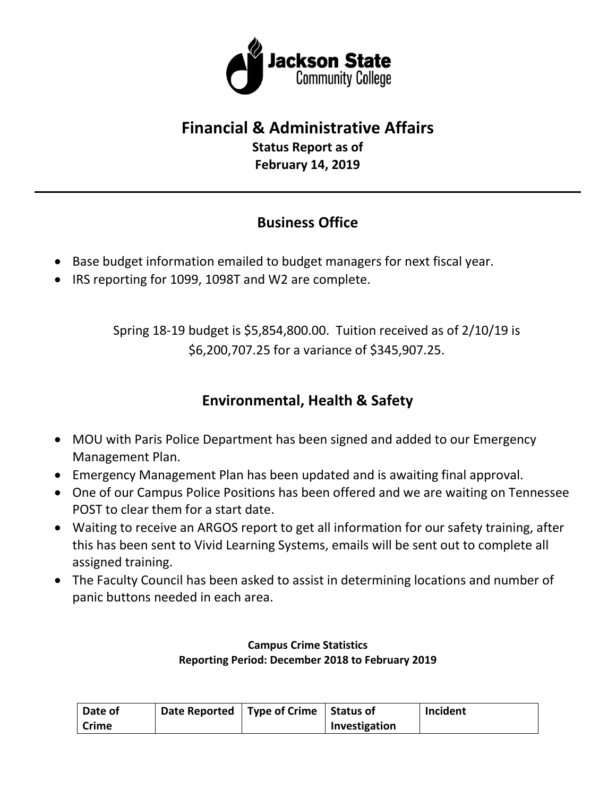

# **Financial & Administrative Affairs**

**Status Report as of February 14, 2019**

# **Business Office**

- Base budget information emailed to budget managers for next fiscal year.
- IRS reporting for 1099, 1098T and W2 are complete.

Spring 18-19 budget is \$5,854,800.00. Tuition received as of 2/10/19 is \$6,200,707.25 for a variance of \$345,907.25.

# **Environmental, Health & Safety**

- MOU with Paris Police Department has been signed and added to our Emergency Management Plan.
- Emergency Management Plan has been updated and is awaiting final approval.
- One of our Campus Police Positions has been offered and we are waiting on Tennessee POST to clear them for a start date.
- Waiting to receive an ARGOS report to get all information for our safety training, after this has been sent to Vivid Learning Systems, emails will be sent out to complete all assigned training.
- The Faculty Council has been asked to assist in determining locations and number of panic buttons needed in each area.

#### **Campus Crime Statistics Reporting Period: December 2018 to February 2019**

| Date of | Date Reported   Type of Crime   Status of |               | Incident |
|---------|-------------------------------------------|---------------|----------|
| Crime   |                                           | Investigation |          |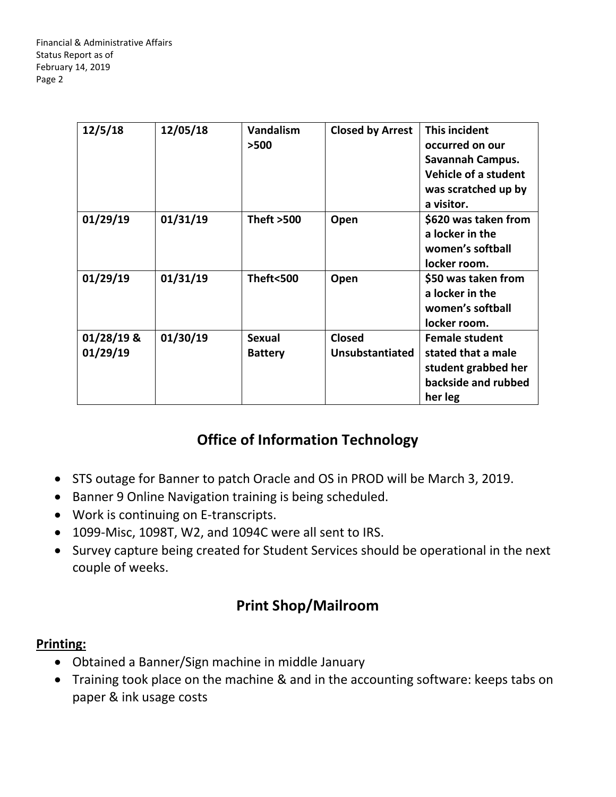| 12/5/18                  | 12/05/18 | <b>Vandalism</b><br>>500        | <b>Closed by Arrest</b>                 | This incident<br>occurred on our<br>Savannah Campus.<br><b>Vehicle of a student</b><br>was scratched up by<br>a visitor. |
|--------------------------|----------|---------------------------------|-----------------------------------------|--------------------------------------------------------------------------------------------------------------------------|
| 01/29/19                 | 01/31/19 | <b>Theft &gt;500</b>            | Open                                    | \$620 was taken from<br>a locker in the<br>women's softball<br>locker room.                                              |
| 01/29/19                 | 01/31/19 | Theft<500                       | Open                                    | \$50 was taken from<br>a locker in the<br>women's softball<br>locker room.                                               |
| $01/28/19$ &<br>01/29/19 | 01/30/19 | <b>Sexual</b><br><b>Battery</b> | <b>Closed</b><br><b>Unsubstantiated</b> | <b>Female student</b><br>stated that a male<br>student grabbed her<br>backside and rubbed<br>her leg                     |

# **Office of Information Technology**

- STS outage for Banner to patch Oracle and OS in PROD will be March 3, 2019.
- Banner 9 Online Navigation training is being scheduled.
- Work is continuing on E-transcripts.
- 1099-Misc, 1098T, W2, and 1094C were all sent to IRS.
- Survey capture being created for Student Services should be operational in the next couple of weeks.

### **Print Shop/Mailroom**

#### **Printing:**

- Obtained a Banner/Sign machine in middle January
- Training took place on the machine & and in the accounting software: keeps tabs on paper & ink usage costs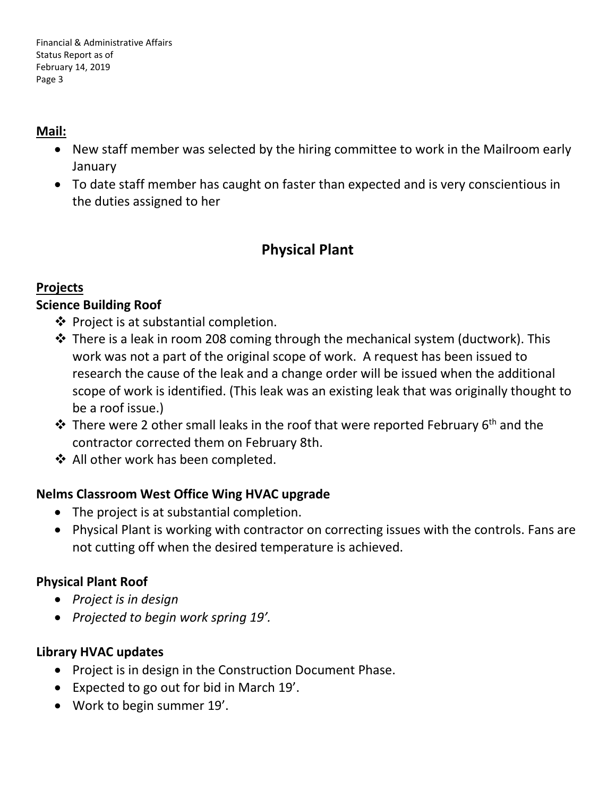#### **Mail:**

- New staff member was selected by the hiring committee to work in the Mailroom early January
- To date staff member has caught on faster than expected and is very conscientious in the duties assigned to her

### **Physical Plant**

#### **Projects**

#### **Science Building Roof**

- $\clubsuit$  Project is at substantial completion.
- $\cdot$  There is a leak in room 208 coming through the mechanical system (ductwork). This work was not a part of the original scope of work. A request has been issued to research the cause of the leak and a change order will be issued when the additional scope of work is identified. (This leak was an existing leak that was originally thought to be a roof issue.)
- $\cdot$  There were 2 other small leaks in the roof that were reported February 6<sup>th</sup> and the contractor corrected them on February 8th.
- ◆ All other work has been completed.

### **Nelms Classroom West Office Wing HVAC upgrade**

- The project is at substantial completion.
- Physical Plant is working with contractor on correcting issues with the controls. Fans are not cutting off when the desired temperature is achieved.

### **Physical Plant Roof**

- *Project is in design*
- *Projected to begin work spring 19'.*

### **Library HVAC updates**

- Project is in design in the Construction Document Phase.
- Expected to go out for bid in March 19'.
- Work to begin summer 19'.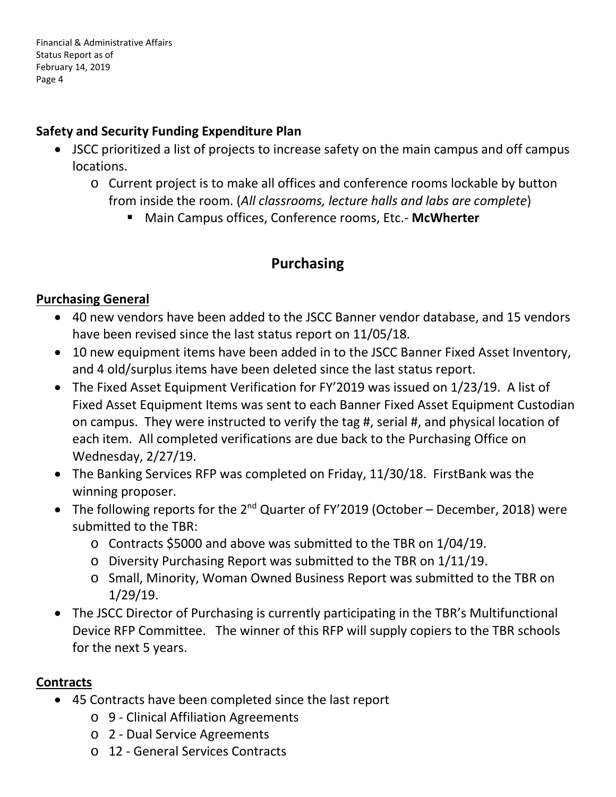#### **Safety and Security Funding Expenditure Plan**

- JSCC prioritized a list of projects to increase safety on the main campus and off campus locations.
	- o Current project is to make all offices and conference rooms lockable by button from inside the room. (*All classrooms, lecture halls and labs are complete*)
		- Main Campus offices, Conference rooms, Etc.- **McWherter**

### **Purchasing**

#### **Purchasing General**

- 40 new vendors have been added to the JSCC Banner vendor database, and 15 vendors have been revised since the last status report on 11/05/18.
- 10 new equipment items have been added in to the JSCC Banner Fixed Asset Inventory, and 4 old/surplus items have been deleted since the last status report.
- The Fixed Asset Equipment Verification for FY'2019 was issued on 1/23/19. A list of Fixed Asset Equipment Items was sent to each Banner Fixed Asset Equipment Custodian on campus. They were instructed to verify the tag #, serial #, and physical location of each item. All completed verifications are due back to the Purchasing Office on Wednesday, 2/27/19.
- The Banking Services RFP was completed on Friday, 11/30/18. FirstBank was the winning proposer.
- The following reports for the  $2^{nd}$  Quarter of FY'2019 (October December, 2018) were submitted to the TBR:
	- o Contracts \$5000 and above was submitted to the TBR on 1/04/19.
	- o Diversity Purchasing Report was submitted to the TBR on 1/11/19.
	- o Small, Minority, Woman Owned Business Report was submitted to the TBR on 1/29/19.
- The JSCC Director of Purchasing is currently participating in the TBR's Multifunctional Device RFP Committee. The winner of this RFP will supply copiers to the TBR schools for the next 5 years.

### **Contracts**

- 45 Contracts have been completed since the last report
	- o 9 Clinical Affiliation Agreements
	- o 2 Dual Service Agreements
	- o 12 General Services Contracts